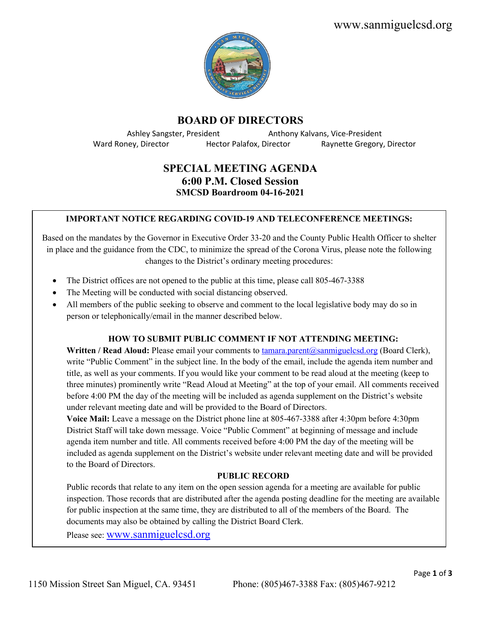www.sanmiguelcsd.org



# **BOARD OF DIRECTORS**

Ward Roney, Director **Hector Palafox, Director** Raynette Gregory, Director

Ashley Sangster, President **Anthony Kalvans, Vice-President** 

# **SPECIAL MEETING AGENDA 6:00 P.M. Closed Session SMCSD Boardroom 04-16-2021**

### **IMPORTANT NOTICE REGARDING COVID-19 AND TELECONFERENCE MEETINGS:**

Based on the mandates by the Governor in Executive Order 33-20 and the County Public Health Officer to shelter in place and the guidance from the CDC, to minimize the spread of the Corona Virus, please note the following changes to the District's ordinary meeting procedures:

- The District offices are not opened to the public at this time, please call 805-467-3388
- The Meeting will be conducted with social distancing observed.
- All members of the public seeking to observe and comment to the local legislative body may do so in person or telephonically/email in the manner described below.

### **HOW TO SUBMIT PUBLIC COMMENT IF NOT ATTENDING MEETING:**

**Written / Read Aloud:** Please email your comments to [tamara.parent@sanmiguelcsd.org](mailto:tamara.parent@sanmiguelcsd.org) (Board Clerk), write "Public Comment" in the subject line. In the body of the email, include the agenda item number and title, as well as your comments. If you would like your comment to be read aloud at the meeting (keep to three minutes) prominently write "Read Aloud at Meeting" at the top of your email. All comments received before 4:00 PM the day of the meeting will be included as agenda supplement on the District's website under relevant meeting date and will be provided to the Board of Directors.

**Voice Mail:** Leave a message on the District phone line at 805-467-3388 after 4:30pm before 4:30pm District Staff will take down message. Voice "Public Comment" at beginning of message and include agenda item number and title. All comments received before 4:00 PM the day of the meeting will be included as agenda supplement on the District's website under relevant meeting date and will be provided to the Board of Directors.

#### **PUBLIC RECORD**

Public records that relate to any item on the open session agenda for a meeting are available for public inspection. Those records that are distributed after the agenda posting deadline for the meeting are available for public inspection at the same time, they are distributed to all of the members of the Board. The documents may also be obtained by calling the District Board Clerk.

Please see: [www.sanmiguelcsd.org](http://www.sanmiguelcsd.org/)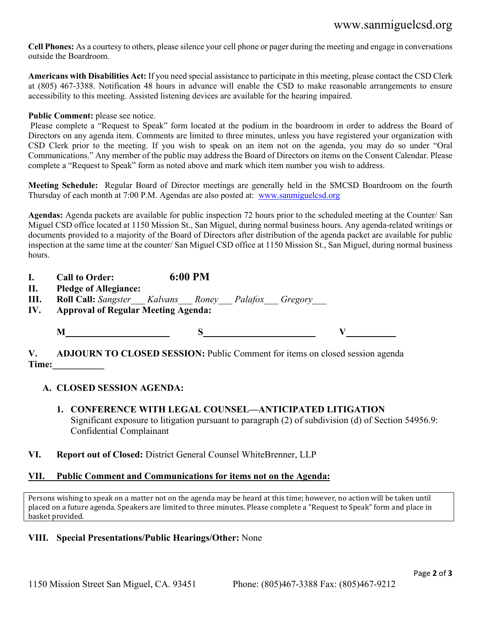# www.sanmiguelcsd.org

**Cell Phones:** As a courtesy to others, please silence your cell phone or pager during the meeting and engage in conversations outside the Boardroom.

**Americans with Disabilities Act:** If you need special assistance to participate in this meeting, please contact the CSD Clerk at (805) 467-3388. Notification 48 hours in advance will enable the CSD to make reasonable arrangements to ensure accessibility to this meeting. Assisted listening devices are available for the hearing impaired.

### Public Comment: please see notice.

Please complete a "Request to Speak" form located at the podium in the boardroom in order to address the Board of Directors on any agenda item. Comments are limited to three minutes, unless you have registered your organization with CSD Clerk prior to the meeting. If you wish to speak on an item not on the agenda, you may do so under "Oral Communications." Any member of the public may address the Board of Directors on items on the Consent Calendar. Please complete a "Request to Speak" form as noted above and mark which item number you wish to address.

**Meeting Schedule:** Regular Board of Director meetings are generally held in the SMCSD Boardroom on the fourth Thursday of each month at 7:00 P.M. Agendas are also posted at: [www.sanmiguelcsd.org](http://www.sanmiguelcsd.org/)

**Agendas:** Agenda packets are available for public inspection 72 hours prior to the scheduled meeting at the Counter/ San Miguel CSD office located at 1150 Mission St., San Miguel, during normal business hours. Any agenda-related writings or documents provided to a majority of the Board of Directors after distribution of the agenda packet are available for public inspection at the same time at the counter/ San Miguel CSD office at 1150 Mission St., San Miguel, during normal business hours.

| <b>Call to Order:</b> | 6:00 PM |
|-----------------------|---------|
|                       |         |

**II. Pledge of Allegiance:**

**III. Roll Call:** *Sangster\_\_\_ Kalvans\_\_\_ Roney\_\_\_ Palafox\_\_\_ Gregory\_\_\_*

**IV. Approval of Regular Meeting Agenda:**

**M S V**

**V. ADJOURN TO CLOSED SESSION:** Public Comment for items on closed session agenda **Time:\_\_\_\_\_\_\_\_\_\_\_** 

## **A. CLOSED SESSION AGENDA:**

- **1. CONFERENCE WITH LEGAL COUNSEL—ANTICIPATED LITIGATION** Significant exposure to litigation pursuant to paragraph (2) of subdivision (d) of Section 54956.9: Confidential Complainant
- **VI. Report out of Closed:** District General Counsel WhiteBrenner, LLP

## **VII. Public Comment and Communications for items not on the Agenda:**

Persons wishing to speak on a matter not on the agenda may be heard at this time; however, no action will be taken until placed on a future agenda. Speakers are limited to three minutes. Please complete a "Request to Speak" form and place in basket provided.

## **VIII. Special Presentations/Public Hearings/Other:** None